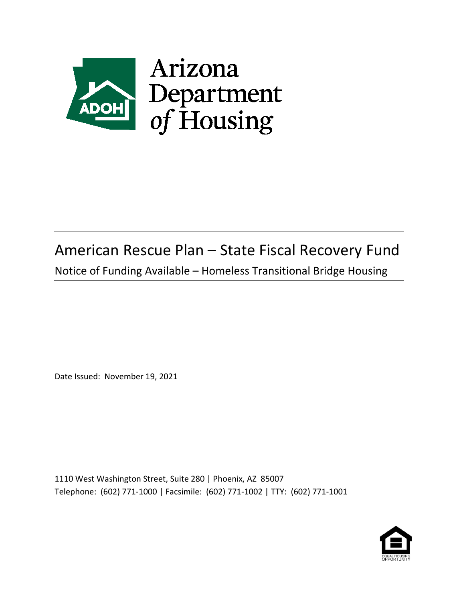

# American Rescue Plan – State Fiscal Recovery Fund

Notice of Funding Available – Homeless Transitional Bridge Housing

Date Issued: November 19, 2021

1110 West Washington Street, Suite 280 | Phoenix, AZ 85007 Telephone: (602) 771-1000 | Facsimile: (602) 771-1002 | TTY: (602) 771-1001

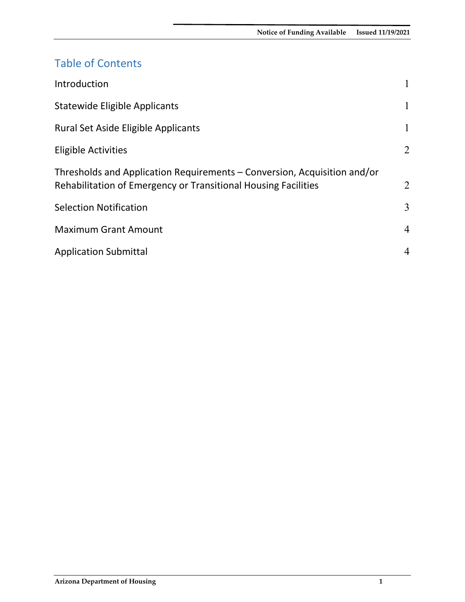## Table of Contents

<span id="page-1-0"></span>

| Introduction                                                                                                                               |                |
|--------------------------------------------------------------------------------------------------------------------------------------------|----------------|
| <b>Statewide Eligible Applicants</b>                                                                                                       | $\mathbf{1}$   |
| <b>Rural Set Aside Eligible Applicants</b>                                                                                                 | $\mathbf{1}$   |
| <b>Eligible Activities</b>                                                                                                                 | 2              |
| Thresholds and Application Requirements – Conversion, Acquisition and/or<br>Rehabilitation of Emergency or Transitional Housing Facilities | 2              |
| <b>Selection Notification</b>                                                                                                              | 3              |
| <b>Maximum Grant Amount</b>                                                                                                                | 4              |
| <b>Application Submittal</b>                                                                                                               | $\overline{4}$ |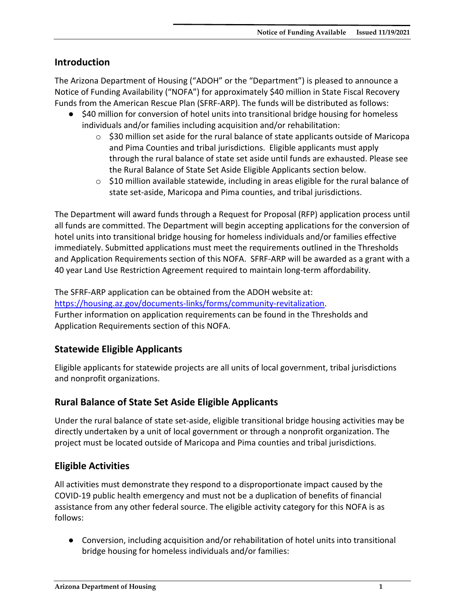#### **Introduction**

The Arizona Department of Housing ("ADOH" or the "Department") is pleased to announce a Notice of Funding Availability ("NOFA") for approximately \$40 million in State Fiscal Recovery Funds from the American Rescue Plan (SFRF-ARP). The funds will be distributed as follows:

- \$40 million for conversion of hotel units into transitional bridge housing for homeless individuals and/or families including acquisition and/or rehabilitation:
	- $\circ$  \$30 million set aside for the rural balance of state applicants outside of Maricopa and Pima Counties and tribal jurisdictions. Eligible applicants must apply through the rural balance of state set aside until funds are exhausted. Please see the Rural Balance of State Set Aside Eligible Applicants section below.
	- $\circ$  \$10 million available statewide, including in areas eligible for the rural balance of state set-aside, Maricopa and Pima counties, and tribal jurisdictions.

The Department will award funds through a Request for Proposal (RFP) application process until all funds are committed. The Department will begin accepting applications for the conversion of hotel units into transitional bridge housing for homeless individuals and/or families effective immediately. Submitted applications must meet the requirements outlined in the Thresholds and Application Requirements section of this NOFA. SFRF-ARP will be awarded as a grant with a 40 year Land Use Restriction Agreement required to maintain long-term affordability.

The SFRF-ARP application can be obtained from the ADOH website at: [https://housing.az.gov/documents-links/forms/community-revitalization.](https://housing.az.gov/documents-links/forms/community-revitalization) Further information on application requirements can be found in the Thresholds and Application Requirements section of this NOFA.

#### <span id="page-2-0"></span>**Statewide Eligible Applicants**

Eligible applicants for statewide projects are all units of local government, tribal jurisdictions and nonprofit organizations.

#### <span id="page-2-1"></span>**Rural Balance of State Set Aside Eligible Applicants**

Under the rural balance of state set-aside, eligible transitional bridge housing activities may be directly undertaken by a unit of local government or through a nonprofit organization. The project must be located outside of Maricopa and Pima counties and tribal jurisdictions.

#### <span id="page-2-2"></span>**Eligible Activities**

All activities must demonstrate they respond to a disproportionate impact caused by the COVID-19 public health emergency and must not be a duplication of benefits of financial assistance from any other federal source. The eligible activity category for this NOFA is as follows:

● Conversion, including acquisition and/or rehabilitation of hotel units into transitional bridge housing for homeless individuals and/or families: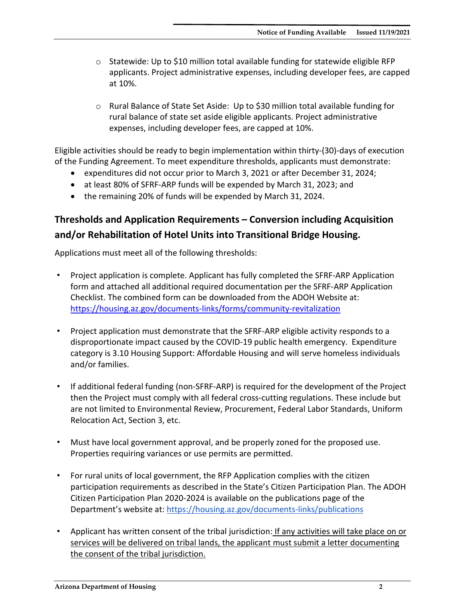- $\circ$  Statewide: Up to \$10 million total available funding for statewide eligible RFP applicants. Project administrative expenses, including developer fees, are capped at 10%.
- $\circ$  Rural Balance of State Set Aside: Up to \$30 million total available funding for rural balance of state set aside eligible applicants. Project administrative expenses, including developer fees, are capped at 10%.

Eligible activities should be ready to begin implementation within thirty-(30)-days of execution of the Funding Agreement. To meet expenditure thresholds, applicants must demonstrate:

- expenditures did not occur prior to March 3, 2021 or after December 31, 2024;
- at least 80% of SFRF-ARP funds will be expended by March 31, 2023; and
- the remaining 20% of funds will be expended by March 31, 2024.

### <span id="page-3-0"></span>**Thresholds and Application Requirements – Conversion including Acquisition and/or Rehabilitation of Hotel Units into Transitional Bridge Housing.**

Applications must meet all of the following thresholds:

- Project application is complete. Applicant has fully completed the SFRF-ARP Application form and attached all additional required documentation per the SFRF-ARP Application Checklist. The combined form can be downloaded from the ADOH Website at: <https://housing.az.gov/documents-links/forms/community-revitalization>
- Project application must demonstrate that the SFRF-ARP eligible activity responds to a disproportionate impact caused by the COVID-19 public health emergency. Expenditure category is 3.10 Housing Support: Affordable Housing and will serve homeless individuals and/or families.
- If additional federal funding (non-SFRF-ARP) is required for the development of the Project then the Project must comply with all federal cross-cutting regulations. These include but are not limited to Environmental Review, Procurement, Federal Labor Standards, Uniform Relocation Act, Section 3, etc.
- Must have local government approval, and be properly zoned for the proposed use. Properties requiring variances or use permits are permitted.
- For rural units of local government, the RFP Application complies with the citizen participation requirements as described in the State's Citizen Participation Plan. The ADOH Citizen Participation Plan 2020-2024 is available on the publications page of the Department's website at:<https://housing.az.gov/documents-links/publications>
- Applicant has written consent of the tribal jurisdiction: If any activities will take place on or services will be delivered on tribal lands, the applicant must submit a letter documenting the consent of the tribal jurisdiction.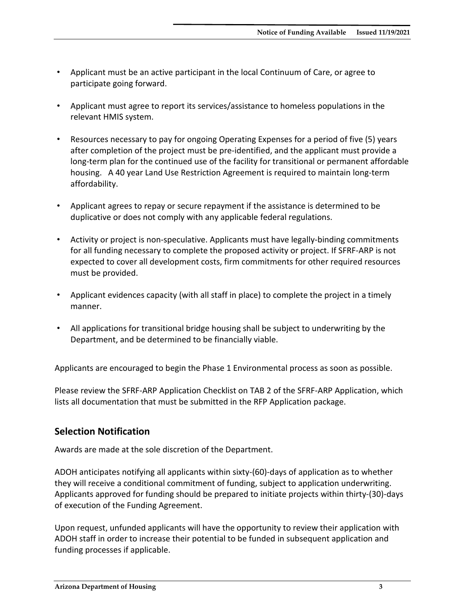- Applicant must be an active participant in the local Continuum of Care, or agree to participate going forward.
- Applicant must agree to report its services/assistance to homeless populations in the relevant HMIS system.
- Resources necessary to pay for ongoing Operating Expenses for a period of five (5) years after completion of the project must be pre-identified, and the applicant must provide a long-term plan for the continued use of the facility for transitional or permanent affordable housing. A 40 year Land Use Restriction Agreement is required to maintain long-term affordability.
- Applicant agrees to repay or secure repayment if the assistance is determined to be duplicative or does not comply with any applicable federal regulations.
- Activity or project is non-speculative. Applicants must have legally-binding commitments for all funding necessary to complete the proposed activity or project. If SFRF-ARP is not expected to cover all development costs, firm commitments for other required resources must be provided.
- Applicant evidences capacity (with all staff in place) to complete the project in a timely manner.
- All applications for transitional bridge housing shall be subject to underwriting by the Department, and be determined to be financially viable.

Applicants are encouraged to begin the Phase 1 Environmental process as soon as possible.

Please review the SFRF-ARP Application Checklist on TAB 2 of the SFRF-ARP Application, which lists all documentation that must be submitted in the RFP Application package.

#### <span id="page-4-0"></span>**Selection Notification**

Awards are made at the sole discretion of the Department.

ADOH anticipates notifying all applicants within sixty-(60)-days of application as to whether they will receive a conditional commitment of funding, subject to application underwriting. Applicants approved for funding should be prepared to initiate projects within thirty-(30)-days of execution of the Funding Agreement.

Upon request, unfunded applicants will have the opportunity to review their application with ADOH staff in order to increase their potential to be funded in subsequent application and funding processes if applicable.